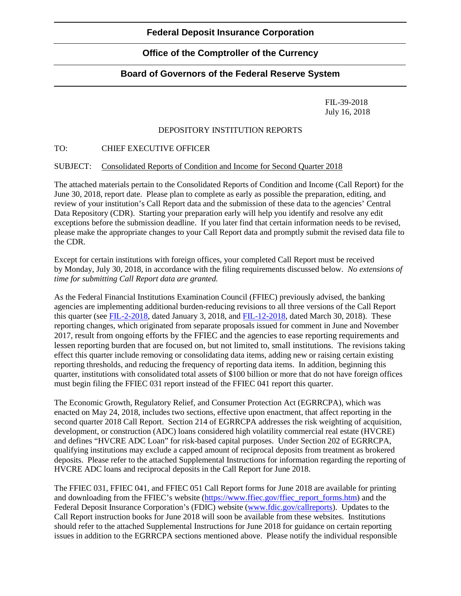# **Office of the Comptroller of the Currency**

## **Board of Governors of the Federal Reserve System**

FIL-39-2018 July 16, 2018

### DEPOSITORY INSTITUTION REPORTS

#### TO: CHIEF EXECUTIVE OFFICER

#### SUBJECT: Consolidated Reports of Condition and Income for Second Quarter 2018

The attached materials pertain to the Consolidated Reports of Condition and Income (Call Report) for the June 30, 2018, report date. Please plan to complete as early as possible the preparation, editing, and review of your institution's Call Report data and the submission of these data to the agencies' Central Data Repository (CDR). Starting your preparation early will help you identify and resolve any edit exceptions before the submission deadline. If you later find that certain information needs to be revised, please make the appropriate changes to your Call Report data and promptly submit the revised data file to the CDR.

Except for certain institutions with foreign offices, your completed Call Report must be received by Monday, July 30, 2018, in accordance with the filing requirements discussed below. *No extensions of time for submitting Call Report data are granted.* 

As the Federal Financial Institutions Examination Council (FFIEC) previously advised, the banking agencies are implementing additional burden-reducing revisions to all three versions of the Call Report this quarter (see [FIL-2-2018,](https://www.fdic.gov/news/news/financial/2018/fil18002.html) dated January 3, 2018, and [FIL-12-2018,](https://www.fdic.gov/news/news/financial/2018/fil18012.html) dated March 30, 2018). These reporting changes, which originated from separate proposals issued for comment in June and November 2017, result from ongoing efforts by the FFIEC and the agencies to ease reporting requirements and lessen reporting burden that are focused on, but not limited to, small institutions. The revisions taking effect this quarter include removing or consolidating data items, adding new or raising certain existing reporting thresholds, and reducing the frequency of reporting data items. In addition, beginning this quarter, institutions with consolidated total assets of \$100 billion or more that do not have foreign offices must begin filing the FFIEC 031 report instead of the FFIEC 041 report this quarter.

The Economic Growth, Regulatory Relief, and Consumer Protection Act (EGRRCPA), which was enacted on May 24, 2018, includes two sections, effective upon enactment, that affect reporting in the second quarter 2018 Call Report. Section 214 of EGRRCPA addresses the risk weighting of acquisition, development, or construction (ADC) loans considered high volatility commercial real estate (HVCRE) and defines "HVCRE ADC Loan" for risk-based capital purposes. Under Section 202 of EGRRCPA, qualifying institutions may exclude a capped amount of reciprocal deposits from treatment as brokered deposits. Please refer to the attached Supplemental Instructions for information regarding the reporting of HVCRE ADC loans and reciprocal deposits in the Call Report for June 2018.

The FFIEC 031, FFIEC 041, and FFIEC 051 Call Report forms for June 2018 are available for printing and downloading from the FFIEC's website [\(https://www.ffiec.gov/ffiec\\_report\\_forms.htm\)](https://www.ffiec.gov/ffiec_report_forms.htm) and the Federal Deposit Insurance Corporation's (FDIC) website [\(www.fdic.gov/callreports\)](https://www.fdic.gov/callreports). Updates to the Call Report instruction books for June 2018 will soon be available from these websites. Institutions should refer to the attached Supplemental Instructions for June 2018 for guidance on certain reporting issues in addition to the EGRRCPA sections mentioned above. Please notify the individual responsible